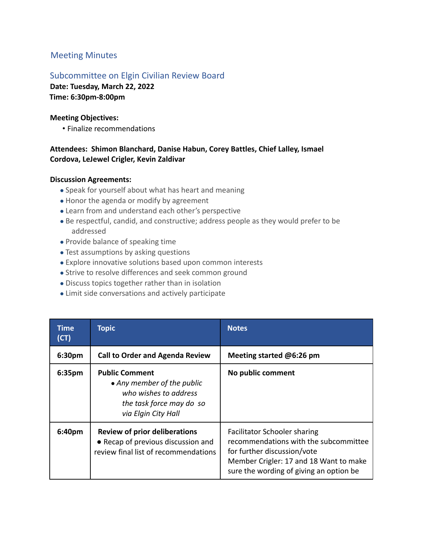# Meeting Minutes

## Subcommittee on Elgin Civilian Review Board

**Date: Tuesday, March 22, 2022 Time: 6:30pm-8:00pm**

#### **Meeting Objectives:**

• Finalize recommendations

### **Attendees: Shimon Blanchard, Danise Habun, Corey Battles, Chief Lalley, Ismael Cordova, LeJewel Crigler, Kevin Zaldivar**

#### **Discussion Agreements:**

- Speak for yourself about what has heart and meaning
- Honor the agenda or modify by agreement
- Learn from and understand each other's perspective
- Be respectful, candid, and constructive; address people as they would prefer to be addressed
- Provide balance of speaking time
- Test assumptions by asking questions
- Explore innovative solutions based upon common interests
- Strive to resolve differences and seek common ground
- Discuss topics together rather than in isolation
- Limit side conversations and actively participate

| Time<br>(CT) | <b>Topic</b>                                                                                                                    | <b>Notes</b>                                                                                                                                                                              |
|--------------|---------------------------------------------------------------------------------------------------------------------------------|-------------------------------------------------------------------------------------------------------------------------------------------------------------------------------------------|
| 6:30pm       | <b>Call to Order and Agenda Review</b>                                                                                          | Meeting started @6:26 pm                                                                                                                                                                  |
| 6:35pm       | <b>Public Comment</b><br>• Any member of the public<br>who wishes to address<br>the task force may do so<br>via Elgin City Hall | No public comment                                                                                                                                                                         |
| 6:40pm       | <b>Review of prior deliberations</b><br>• Recap of previous discussion and<br>review final list of recommendations              | Facilitator Schooler sharing<br>recommendations with the subcommittee<br>for further discussion/vote<br>Member Crigler: 17 and 18 Want to make<br>sure the wording of giving an option be |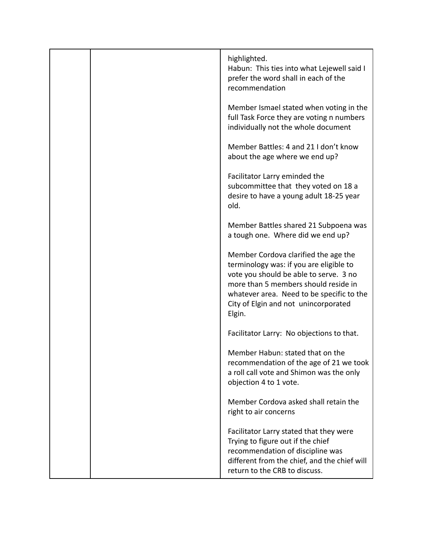|  | highlighted.<br>Habun: This ties into what Lejewell said I<br>prefer the word shall in each of the<br>recommendation                                                                                                                                             |
|--|------------------------------------------------------------------------------------------------------------------------------------------------------------------------------------------------------------------------------------------------------------------|
|  | Member Ismael stated when voting in the<br>full Task Force they are voting n numbers<br>individually not the whole document                                                                                                                                      |
|  | Member Battles: 4 and 21 I don't know<br>about the age where we end up?                                                                                                                                                                                          |
|  | Facilitator Larry eminded the<br>subcommittee that they voted on 18 a<br>desire to have a young adult 18-25 year<br>old.                                                                                                                                         |
|  | Member Battles shared 21 Subpoena was<br>a tough one. Where did we end up?                                                                                                                                                                                       |
|  | Member Cordova clarified the age the<br>terminology was: if you are eligible to<br>vote you should be able to serve. 3 no<br>more than 5 members should reside in<br>whatever area. Need to be specific to the<br>City of Elgin and not unincorporated<br>Elgin. |
|  | Facilitator Larry: No objections to that.                                                                                                                                                                                                                        |
|  | Member Habun: stated that on the<br>recommendation of the age of 21 we took<br>a roll call vote and Shimon was the only<br>objection 4 to 1 vote.                                                                                                                |
|  | Member Cordova asked shall retain the<br>right to air concerns                                                                                                                                                                                                   |
|  | Facilitator Larry stated that they were<br>Trying to figure out if the chief<br>recommendation of discipline was<br>different from the chief, and the chief will<br>return to the CRB to discuss.                                                                |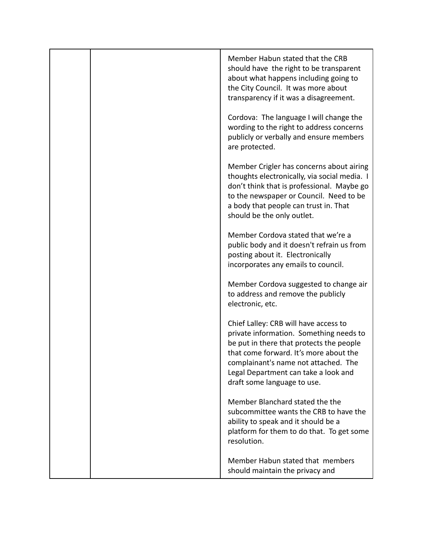|  | Member Habun stated that the CRB<br>should have the right to be transparent<br>about what happens including going to<br>the City Council. It was more about<br>transparency if it was a disagreement.                                                                                 |
|--|---------------------------------------------------------------------------------------------------------------------------------------------------------------------------------------------------------------------------------------------------------------------------------------|
|  | Cordova: The language I will change the<br>wording to the right to address concerns<br>publicly or verbally and ensure members<br>are protected.                                                                                                                                      |
|  | Member Crigler has concerns about airing<br>thoughts electronically, via social media. I<br>don't think that is professional. Maybe go<br>to the newspaper or Council. Need to be<br>a body that people can trust in. That<br>should be the only outlet.                              |
|  | Member Cordova stated that we're a<br>public body and it doesn't refrain us from<br>posting about it. Electronically<br>incorporates any emails to council.                                                                                                                           |
|  | Member Cordova suggested to change air<br>to address and remove the publicly<br>electronic, etc.                                                                                                                                                                                      |
|  | Chief Lalley: CRB will have access to<br>private information. Something needs to<br>be put in there that protects the people<br>that come forward. It's more about the<br>complainant's name not attached. The<br>Legal Department can take a look and<br>draft some language to use. |
|  | Member Blanchard stated the the<br>subcommittee wants the CRB to have the<br>ability to speak and it should be a<br>platform for them to do that. To get some<br>resolution.                                                                                                          |
|  | Member Habun stated that members<br>should maintain the privacy and                                                                                                                                                                                                                   |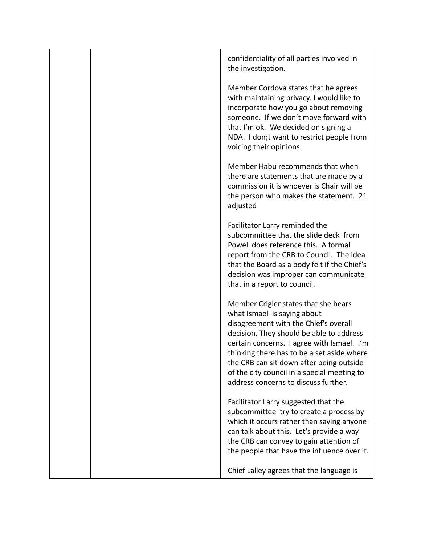|  | confidentiality of all parties involved in<br>the investigation.                                                                                                                                                                                                                                                                                                                        |
|--|-----------------------------------------------------------------------------------------------------------------------------------------------------------------------------------------------------------------------------------------------------------------------------------------------------------------------------------------------------------------------------------------|
|  | Member Cordova states that he agrees<br>with maintaining privacy. I would like to<br>incorporate how you go about removing<br>someone. If we don't move forward with<br>that I'm ok. We decided on signing a<br>NDA. I don;t want to restrict people from<br>voicing their opinions                                                                                                     |
|  | Member Habu recommends that when<br>there are statements that are made by a<br>commission it is whoever is Chair will be<br>the person who makes the statement. 21<br>adjusted                                                                                                                                                                                                          |
|  | Facilitator Larry reminded the<br>subcommittee that the slide deck from<br>Powell does reference this. A formal<br>report from the CRB to Council. The idea<br>that the Board as a body felt if the Chief's<br>decision was improper can communicate<br>that in a report to council.                                                                                                    |
|  | Member Crigler states that she hears<br>what Ismael is saying about<br>disagreement with the Chief's overall<br>decision. They should be able to address<br>certain concerns. I agree with Ismael. I'm<br>thinking there has to be a set aside where<br>the CRB can sit down after being outside<br>of the city council in a special meeting to<br>address concerns to discuss further. |
|  | Facilitator Larry suggested that the<br>subcommittee try to create a process by<br>which it occurs rather than saying anyone<br>can talk about this. Let's provide a way<br>the CRB can convey to gain attention of<br>the people that have the influence over it.                                                                                                                      |
|  | Chief Lalley agrees that the language is                                                                                                                                                                                                                                                                                                                                                |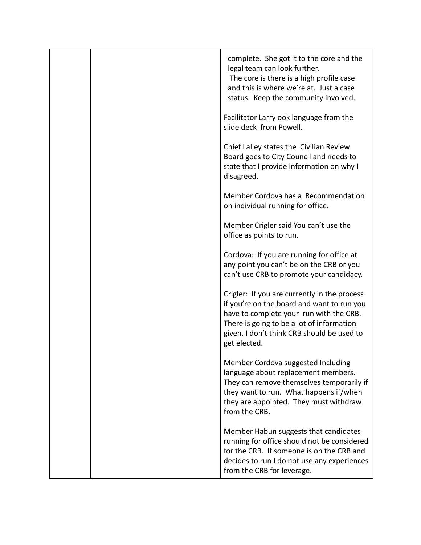|  | complete. She got it to the core and the<br>legal team can look further.<br>The core is there is a high profile case<br>and this is where we're at. Just a case<br>status. Keep the community involved.                                          |
|--|--------------------------------------------------------------------------------------------------------------------------------------------------------------------------------------------------------------------------------------------------|
|  | Facilitator Larry ook language from the<br>slide deck from Powell.                                                                                                                                                                               |
|  | Chief Lalley states the Civilian Review<br>Board goes to City Council and needs to<br>state that I provide information on why I<br>disagreed.                                                                                                    |
|  | Member Cordova has a Recommendation<br>on individual running for office.                                                                                                                                                                         |
|  | Member Crigler said You can't use the<br>office as points to run.                                                                                                                                                                                |
|  | Cordova: If you are running for office at<br>any point you can't be on the CRB or you<br>can't use CRB to promote your candidacy.                                                                                                                |
|  | Crigler: If you are currently in the process<br>if you're on the board and want to run you<br>have to complete your run with the CRB.<br>There is going to be a lot of information<br>given. I don't think CRB should be used to<br>get elected. |
|  | Member Cordova suggested Including<br>language about replacement members.<br>They can remove themselves temporarily if<br>they want to run. What happens if/when<br>they are appointed. They must withdraw<br>from the CRB.                      |
|  | Member Habun suggests that candidates<br>running for office should not be considered<br>for the CRB. If someone is on the CRB and<br>decides to run I do not use any experiences<br>from the CRB for leverage.                                   |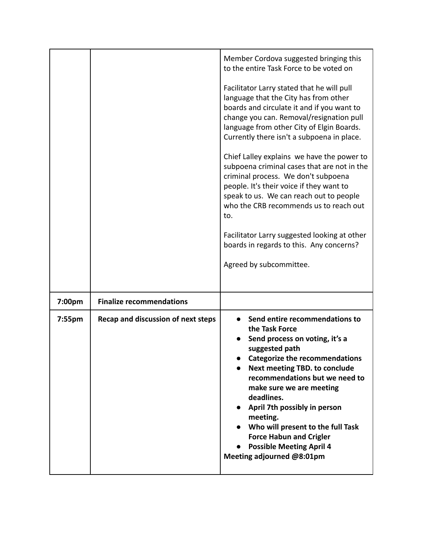|           |                                    | Member Cordova suggested bringing this<br>to the entire Task Force to be voted on<br>Facilitator Larry stated that he will pull<br>language that the City has from other<br>boards and circulate it and if you want to<br>change you can. Removal/resignation pull<br>language from other City of Elgin Boards.<br>Currently there isn't a subpoena in place.<br>Chief Lalley explains we have the power to<br>subpoena criminal cases that are not in the<br>criminal process. We don't subpoena<br>people. It's their voice if they want to<br>speak to us. We can reach out to people<br>who the CRB recommends us to reach out<br>to.<br>Facilitator Larry suggested looking at other<br>boards in regards to this. Any concerns?<br>Agreed by subcommittee. |
|-----------|------------------------------------|------------------------------------------------------------------------------------------------------------------------------------------------------------------------------------------------------------------------------------------------------------------------------------------------------------------------------------------------------------------------------------------------------------------------------------------------------------------------------------------------------------------------------------------------------------------------------------------------------------------------------------------------------------------------------------------------------------------------------------------------------------------|
| 7:00pm    | <b>Finalize recommendations</b>    |                                                                                                                                                                                                                                                                                                                                                                                                                                                                                                                                                                                                                                                                                                                                                                  |
| $7:55$ pm | Recap and discussion of next steps | Send entire recommendations to<br>the Task Force<br>Send process on voting, it's a<br>suggested path<br>Categorize the recommendations<br><b>Next meeting TBD. to conclude</b><br>recommendations but we need to<br>make sure we are meeting<br>deadlines.<br>April 7th possibly in person<br>meeting.<br>Who will present to the full Task<br><b>Force Habun and Crigler</b><br><b>Possible Meeting April 4</b><br>Meeting adjourned @8:01pm                                                                                                                                                                                                                                                                                                                    |